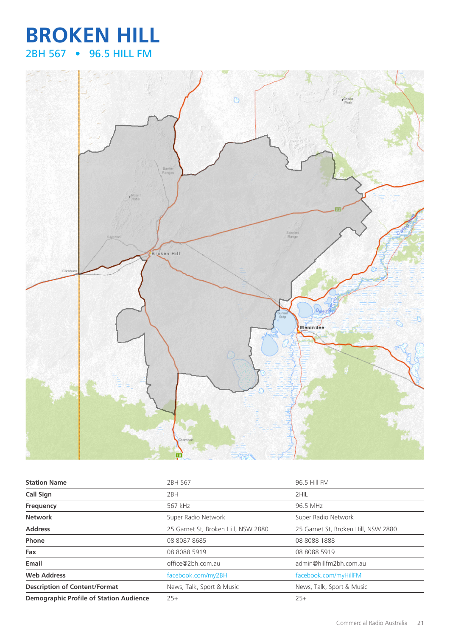## **BROKEN HILL** 2BH 567 • 96.5 HILL FM



| <b>Station Name</b>                            | 2BH 567                             | 96.5 Hill FM                        |
|------------------------------------------------|-------------------------------------|-------------------------------------|
| Call Sign                                      | 2BH                                 | 2HIL                                |
| Frequency                                      | 567 kHz                             | 96.5 MHz                            |
| <b>Network</b>                                 | Super Radio Network                 | Super Radio Network                 |
| <b>Address</b>                                 | 25 Garnet St, Broken Hill, NSW 2880 | 25 Garnet St, Broken Hill, NSW 2880 |
| Phone                                          | 08 8087 8685                        | 08 8088 1888                        |
| Fax                                            | 08 8088 5919                        | 08 8088 5919                        |
| Email                                          | office@2bh.com.au                   | admin@hillfm2bh.com.au              |
| <b>Web Address</b>                             | facebook.com/my2BH                  | facebook.com/myHillFM               |
| <b>Description of Content/Format</b>           | News, Talk, Sport & Music           | News, Talk, Sport & Music           |
| <b>Demographic Profile of Station Audience</b> | $25+$                               | $25+$                               |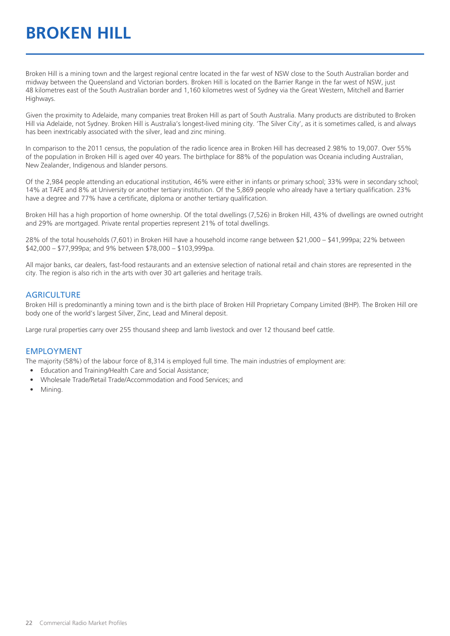# **BROKEN HILL**

Broken Hill is a mining town and the largest regional centre located in the far west of NSW close to the South Australian border and midway between the Queensland and Victorian borders. Broken Hill is located on the Barrier Range in the far west of NSW, just 48 kilometres east of the South Australian border and 1,160 kilometres west of Sydney via the Great Western, Mitchell and Barrier Highways.

Given the proximity to Adelaide, many companies treat Broken Hill as part of South Australia. Many products are distributed to Broken Hill via Adelaide, not Sydney. Broken Hill is Australia's longest-lived mining city. 'The Silver City', as it is sometimes called, is and always has been inextricably associated with the silver, lead and zinc mining.

In comparison to the 2011 census, the population of the radio licence area in Broken Hill has decreased 2.98% to 19,007. Over 55% of the population in Broken Hill is aged over 40 years. The birthplace for 88% of the population was Oceania including Australian, New Zealander, Indigenous and Islander persons.

Of the 2,984 people attending an educational institution, 46% were either in infants or primary school; 33% were in secondary school; 14% at TAFE and 8% at University or another tertiary institution. Of the 5,869 people who already have a tertiary qualification. 23% have a degree and 77% have a certificate, diploma or another tertiary qualification.

Broken Hill has a high proportion of home ownership. Of the total dwellings (7,526) in Broken Hill, 43% of dwellings are owned outright and 29% are mortgaged. Private rental properties represent 21% of total dwellings.

28% of the total households (7,601) in Broken Hill have a household income range between \$21,000 – \$41,999pa; 22% between \$42,000 – \$77,999pa; and 9% between \$78,000 – \$103,999pa.

All major banks, car dealers, fast-food restaurants and an extensive selection of national retail and chain stores are represented in the city. The region is also rich in the arts with over 30 art galleries and heritage trails.

#### **AGRICULTURE**

Broken Hill is predominantly a mining town and is the birth place of Broken Hill Proprietary Company Limited (BHP). The Broken Hill ore body one of the world's largest Silver, Zinc, Lead and Mineral deposit.

Large rural properties carry over 255 thousand sheep and lamb livestock and over 12 thousand beef cattle.

#### EMPLOYMENT

The majority (58%) of the labour force of 8,314 is employed full time. The main industries of employment are:

- Education and Training/Health Care and Social Assistance;
- Wholesale Trade/Retail Trade/Accommodation and Food Services; and
- Mining.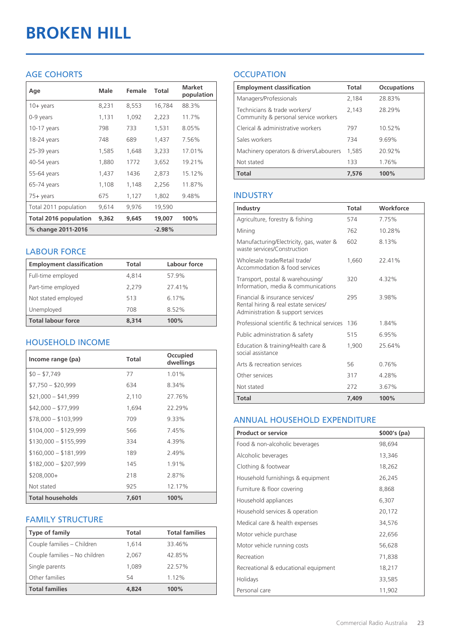# **BROKEN HILL**

#### AGE COHORTS

| Age                   | Male  | Female | Total    | <b>Market</b><br>population |
|-----------------------|-------|--------|----------|-----------------------------|
| $10 + \gamma$ ears    | 8,231 | 8,553  | 16,784   | 88.3%                       |
| 0-9 years             | 1,131 | 1,092  | 2,223    | 11.7%                       |
| $10-17$ years         | 798   | 733    | 1,531    | 8.05%                       |
| 18-24 years           | 748   | 689    | 1,437    | 7.56%                       |
| 25-39 years           | 1,585 | 1,648  | 3,233    | 17.01%                      |
| 40-54 years           | 1,880 | 1772   | 3,652    | 19.21%                      |
| 55-64 years           | 1,437 | 1436   | 2,873    | 15.12%                      |
| 65-74 years           | 1,108 | 1,148  | 2,256    | 11.87%                      |
| $75+$ years           | 675   | 1,127  | 1,802    | 9.48%                       |
| Total 2011 population | 9,614 | 9,976  | 19,590   |                             |
| Total 2016 population | 9,362 | 9,645  | 19,007   | 100%                        |
| % change 2011-2016    |       |        | $-2.98%$ |                             |

#### LABOUR FORCE

| <b>Employment classification</b> | Total | Labour force |
|----------------------------------|-------|--------------|
| Full-time employed               | 4,814 | 57.9%        |
| Part-time employed               | 2.279 | 27.41%       |
| Not stated employed              | 513   | 6.17%        |
| Unemployed                       | 708   | 8.52%        |
| <b>Total labour force</b>        | 8.314 | 100%         |

#### HOUSEHOLD INCOME

| Income range (pa)       | Total | Occupied<br>dwellings |
|-------------------------|-------|-----------------------|
| $$0 - $7,749$           | 77    | 1.01%                 |
| $$7,750 - $20,999$      | 634   | 8.34%                 |
| $$21,000 - $41,999$     | 2,110 | 27.76%                |
| $$42,000 - $77,999$     | 1,694 | 22.29%                |
| $$78,000 - $103,999$    | 709   | 9.33%                 |
| $$104,000 - $129,999$   | 566   | 7.45%                 |
| $$130,000 - $155,999$   | 334   | 4.39%                 |
| $$160,000 - $181,999$   | 189   | 2.49%                 |
| $$182,000 - $207,999$   | 145   | 1.91%                 |
| \$208,000+              | 218   | 2.87%                 |
| Not stated              | 925   | 12.17%                |
| <b>Total households</b> | 7,601 | 100%                  |

#### FAMILY STRUCTURE

| <b>Type of family</b>         | <b>Total</b> | <b>Total families</b> |
|-------------------------------|--------------|-----------------------|
| Couple families - Children    | 1.614        | 33.46%                |
| Couple families - No children | 2,067        | 42.85%                |
| Single parents                | 1.089        | 22.57%                |
| Other families                | 54           | 1.12%                 |
| <b>Total families</b>         | 4,824        | 100%                  |

### **OCCUPATION**

| <b>Employment classification</b>                                     | <b>Total</b> | <b>Occupations</b> |
|----------------------------------------------------------------------|--------------|--------------------|
| Managers/Professionals                                               | 2.184        | 28.83%             |
| Technicians & trade workers/<br>Community & personal service workers | 2,143        | 28.29%             |
| Clerical & administrative workers                                    | 797          | 10.52%             |
| Sales workers                                                        | 734          | 9.69%              |
| Machinery operators & drivers/Labourers                              | 1,585        | 20.92%             |
| Not stated                                                           | 133          | 1.76%              |
| <b>Total</b>                                                         | 7.576        | 100%               |

#### INDUSTRY

| Industry                                                                                                      | Total | Workforce |
|---------------------------------------------------------------------------------------------------------------|-------|-----------|
| Agriculture, forestry & fishing                                                                               | 574   | 7.75%     |
| Mining                                                                                                        | 762   | 10 28%    |
| Manufacturing/Electricity, gas, water &<br>waste services/Construction                                        | 602   | 8.13%     |
| Wholesale trade/Retail trade/<br>Accommodation & food services                                                | 1.660 | 22.41%    |
| Transport, postal & warehousing/<br>Information, media & communications                                       | 320   | 4.32%     |
| Financial & insurance services/<br>Rental hiring & real estate services/<br>Administration & support services | 295   | 3.98%     |
| Professional scientific & technical services                                                                  | 136   | 1.84%     |
| Public administration & safety                                                                                | 515   | 6.95%     |
| Education & training/Health care &<br>social assistance                                                       | 1,900 | 25.64%    |
| Arts & recreation services                                                                                    | 56    | 0.76%     |
| Other services                                                                                                | 317   | 4.28%     |
| Not stated                                                                                                    | 272   | 3.67%     |
| Total                                                                                                         | 7,409 | 100%      |

#### ANNUAL HOUSEHOLD EXPENDITURE

| <b>Product or service</b>            | $$000's$ (pa) |
|--------------------------------------|---------------|
| Food & non-alcoholic beverages       | 98,694        |
| Alcoholic beverages                  | 13,346        |
| Clothing & footwear                  | 18,262        |
| Household furnishings & equipment    | 26,245        |
| Furniture & floor covering           | 8,868         |
| Household appliances                 | 6,307         |
| Household services & operation       | 20,172        |
| Medical care & health expenses       | 34,576        |
| Motor vehicle purchase               | 22,656        |
| Motor vehicle running costs          | 56,628        |
| Recreation                           | 71,838        |
| Recreational & educational equipment | 18,217        |
| Holidays                             | 33,585        |
| Personal care                        | 11,902        |